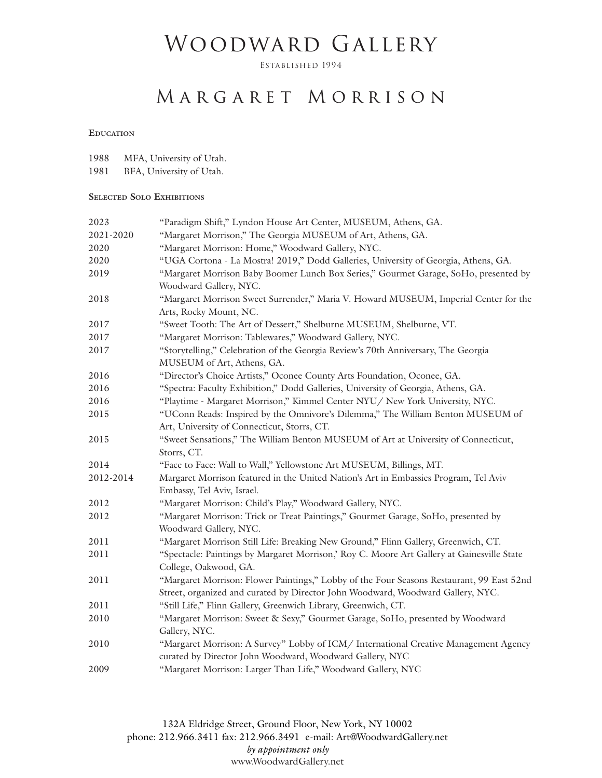# WOODWARD GALLERY

Established 1994

## M ARGARET M ORRISON

#### **Education**

| 1988 |  | MFA, University of Utah. |  |
|------|--|--------------------------|--|
|------|--|--------------------------|--|

1981 BFA, University of Utah.

#### **Selected Solo Exhibitions**

| 2023      | "Paradigm Shift," Lyndon House Art Center, MUSEUM, Athens, GA.                             |
|-----------|--------------------------------------------------------------------------------------------|
| 2021-2020 | "Margaret Morrison," The Georgia MUSEUM of Art, Athens, GA.                                |
| 2020      | "Margaret Morrison: Home," Woodward Gallery, NYC.                                          |
| 2020      | "UGA Cortona - La Mostra! 2019," Dodd Galleries, University of Georgia, Athens, GA.        |
| 2019      | "Margaret Morrison Baby Boomer Lunch Box Series," Gourmet Garage, SoHo, presented by       |
|           | Woodward Gallery, NYC.                                                                     |
| 2018      | "Margaret Morrison Sweet Surrender," Maria V. Howard MUSEUM, Imperial Center for the       |
|           | Arts, Rocky Mount, NC.                                                                     |
| 2017      | "Sweet Tooth: The Art of Dessert," Shelburne MUSEUM, Shelburne, VT.                        |
| 2017      | "Margaret Morrison: Tablewares," Woodward Gallery, NYC.                                    |
| 2017      | "Storytelling," Celebration of the Georgia Review's 70th Anniversary, The Georgia          |
|           | MUSEUM of Art, Athens, GA.                                                                 |
| 2016      | "Director's Choice Artists," Oconee County Arts Foundation, Oconee, GA.                    |
| 2016      | "Spectra: Faculty Exhibition," Dodd Galleries, University of Georgia, Athens, GA.          |
| 2016      | "Playtime - Margaret Morrison," Kimmel Center NYU/ New York University, NYC.               |
| 2015      | "UConn Reads: Inspired by the Omnivore's Dilemma," The William Benton MUSEUM of            |
|           | Art, University of Connecticut, Storrs, CT.                                                |
| 2015      | "Sweet Sensations," The William Benton MUSEUM of Art at University of Connecticut,         |
|           | Storrs, CT.                                                                                |
| 2014      | "Face to Face: Wall to Wall," Yellowstone Art MUSEUM, Billings, MT.                        |
| 2012-2014 | Margaret Morrison featured in the United Nation's Art in Embassies Program, Tel Aviv       |
|           | Embassy, Tel Aviv, Israel.                                                                 |
| 2012      | "Margaret Morrison: Child's Play," Woodward Gallery, NYC.                                  |
| 2012      | "Margaret Morrison: Trick or Treat Paintings," Gourmet Garage, SoHo, presented by          |
|           | Woodward Gallery, NYC.                                                                     |
| 2011      | "Margaret Morrison Still Life: Breaking New Ground," Flinn Gallery, Greenwich, CT.         |
| 2011      | "Spectacle: Paintings by Margaret Morrison,' Roy C. Moore Art Gallery at Gainesville State |
|           | College, Oakwood, GA.                                                                      |
| 2011      | "Margaret Morrison: Flower Paintings," Lobby of the Four Seasons Restaurant, 99 East 52nd  |
|           | Street, organized and curated by Director John Woodward, Woodward Gallery, NYC.            |
| 2011      | "Still Life," Flinn Gallery, Greenwich Library, Greenwich, CT.                             |
| 2010      | "Margaret Morrison: Sweet & Sexy," Gourmet Garage, SoHo, presented by Woodward             |
|           | Gallery, NYC.                                                                              |
| 2010      | "Margaret Morrison: A Survey" Lobby of ICM/ International Creative Management Agency       |
|           | curated by Director John Woodward, Woodward Gallery, NYC                                   |
| 2009      | "Margaret Morrison: Larger Than Life," Woodward Gallery, NYC                               |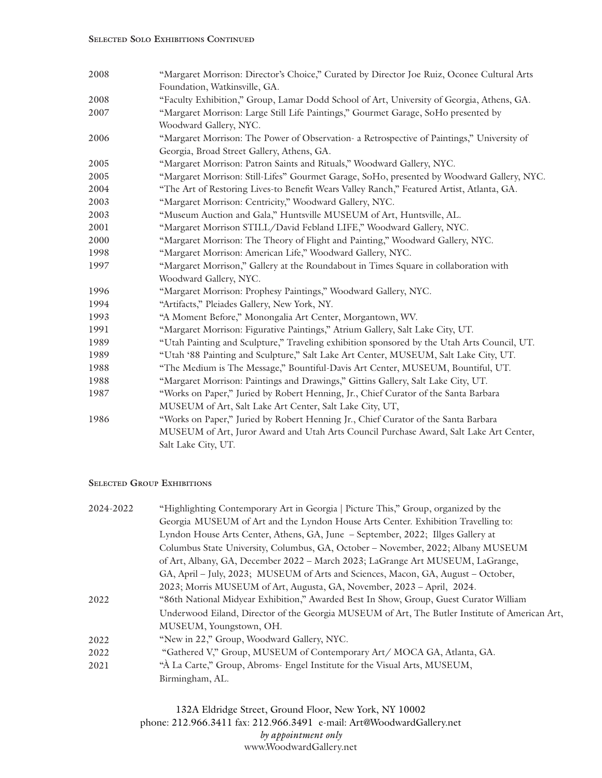| 2008 | "Margaret Morrison: Director's Choice," Curated by Director Joe Ruiz, Oconee Cultural Arts  |
|------|---------------------------------------------------------------------------------------------|
|      | Foundation, Watkinsville, GA.                                                               |
| 2008 | "Faculty Exhibition," Group, Lamar Dodd School of Art, University of Georgia, Athens, GA.   |
| 2007 | "Margaret Morrison: Large Still Life Paintings," Gourmet Garage, SoHo presented by          |
|      | Woodward Gallery, NYC.                                                                      |
| 2006 | "Margaret Morrison: The Power of Observation- a Retrospective of Paintings," University of  |
|      | Georgia, Broad Street Gallery, Athens, GA.                                                  |
| 2005 | "Margaret Morrison: Patron Saints and Rituals," Woodward Gallery, NYC.                      |
| 2005 | "Margaret Morrison: Still-Lifes" Gourmet Garage, SoHo, presented by Woodward Gallery, NYC.  |
| 2004 | "The Art of Restoring Lives-to Benefit Wears Valley Ranch," Featured Artist, Atlanta, GA.   |
| 2003 | "Margaret Morrison: Centricity," Woodward Gallery, NYC.                                     |
| 2003 | "Museum Auction and Gala," Huntsville MUSEUM of Art, Huntsville, AL.                        |
| 2001 | "Margaret Morrison STILL/David Febland LIFE," Woodward Gallery, NYC.                        |
| 2000 | "Margaret Morrison: The Theory of Flight and Painting," Woodward Gallery, NYC.              |
| 1998 | "Margaret Morrison: American Life," Woodward Gallery, NYC.                                  |
| 1997 | "Margaret Morrison," Gallery at the Roundabout in Times Square in collaboration with        |
|      | Woodward Gallery, NYC.                                                                      |
| 1996 | "Margaret Morrison: Prophesy Paintings," Woodward Gallery, NYC.                             |
| 1994 | "Artifacts," Pleiades Gallery, New York, NY.                                                |
| 1993 | "A Moment Before," Monongalia Art Center, Morgantown, WV.                                   |
| 1991 | "Margaret Morrison: Figurative Paintings," Atrium Gallery, Salt Lake City, UT.              |
| 1989 | "Utah Painting and Sculpture," Traveling exhibition sponsored by the Utah Arts Council, UT. |
| 1989 | "Utah '88 Painting and Sculpture," Salt Lake Art Center, MUSEUM, Salt Lake City, UT.        |
| 1988 | "The Medium is The Message," Bountiful-Davis Art Center, MUSEUM, Bountiful, UT.             |
| 1988 | "Margaret Morrison: Paintings and Drawings," Gittins Gallery, Salt Lake City, UT.           |
| 1987 | "Works on Paper," Juried by Robert Henning, Jr., Chief Curator of the Santa Barbara         |
|      | MUSEUM of Art, Salt Lake Art Center, Salt Lake City, UT,                                    |
| 1986 | "Works on Paper," Juried by Robert Henning Jr., Chief Curator of the Santa Barbara          |
|      | MUSEUM of Art, Juror Award and Utah Arts Council Purchase Award, Salt Lake Art Center,      |
|      | Salt Lake City, UT.                                                                         |

#### **Selected Group Exhibitions**

| 2024-2022 | "Highlighting Contemporary Art in Georgia   Picture This," Group, organized by the             |
|-----------|------------------------------------------------------------------------------------------------|
|           | Georgia MUSEUM of Art and the Lyndon House Arts Center. Exhibition Travelling to:              |
|           | Lyndon House Arts Center, Athens, GA, June - September, 2022; Illges Gallery at                |
|           | Columbus State University, Columbus, GA, October – November, 2022; Albany MUSEUM               |
|           | of Art, Albany, GA, December 2022 - March 2023; LaGrange Art MUSEUM, LaGrange,                 |
|           | GA, April - July, 2023; MUSEUM of Arts and Sciences, Macon, GA, August - October,              |
|           | 2023; Morris MUSEUM of Art, Augusta, GA, November, 2023 – April, 2024.                         |
| 2022      | "86th National Midyear Exhibition," Awarded Best In Show, Group, Guest Curator William         |
|           | Underwood Eiland, Director of the Georgia MUSEUM of Art, The Butler Institute of American Art, |
|           | MUSEUM, Youngstown, OH.                                                                        |
| 2022      | "New in 22," Group, Woodward Gallery, NYC.                                                     |
| 2022      | "Gathered V," Group, MUSEUM of Contemporary Art/ MOCA GA, Atlanta, GA.                         |
| 2021      | "A La Carte," Group, Abroms- Engel Institute for the Visual Arts, MUSEUM,                      |
|           | Birmingham, AL.                                                                                |

132A Eldridge Street, Ground Floor, New York, NY 10002 phone: 212.966.3411 fax: 212.966.3491 e-mail: Art@WoodwardGallery.net *by appointment only* www.WoodwardGallery.net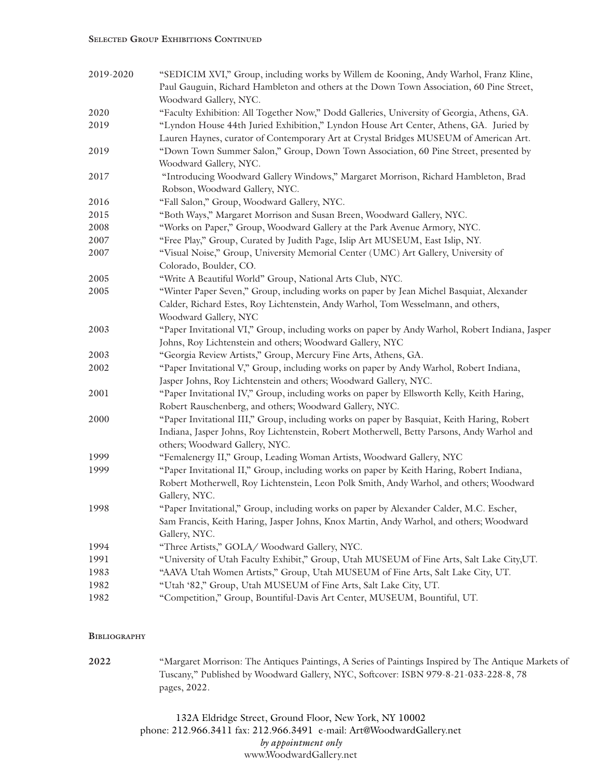| 2019-2020 | "SEDICIM XVI," Group, including works by Willem de Kooning, Andy Warhol, Franz Kline,                                                                                          |
|-----------|--------------------------------------------------------------------------------------------------------------------------------------------------------------------------------|
|           | Paul Gauguin, Richard Hambleton and others at the Down Town Association, 60 Pine Street,                                                                                       |
|           | Woodward Gallery, NYC.                                                                                                                                                         |
| 2020      | "Faculty Exhibition: All Together Now," Dodd Galleries, University of Georgia, Athens, GA.                                                                                     |
| 2019      | "Lyndon House 44th Juried Exhibition," Lyndon House Art Center, Athens, GA. Juried by<br>Lauren Haynes, curator of Contemporary Art at Crystal Bridges MUSEUM of American Art. |
| 2019      | "Down Town Summer Salon," Group, Down Town Association, 60 Pine Street, presented by                                                                                           |
|           | Woodward Gallery, NYC.                                                                                                                                                         |
| 2017      | "Introducing Woodward Gallery Windows," Margaret Morrison, Richard Hambleton, Brad                                                                                             |
|           | Robson, Woodward Gallery, NYC.                                                                                                                                                 |
| 2016      | "Fall Salon," Group, Woodward Gallery, NYC.                                                                                                                                    |
| 2015      | "Both Ways," Margaret Morrison and Susan Breen, Woodward Gallery, NYC.                                                                                                         |
| 2008      | "Works on Paper," Group, Woodward Gallery at the Park Avenue Armory, NYC.                                                                                                      |
| 2007      | "Free Play," Group, Curated by Judith Page, Islip Art MUSEUM, East Islip, NY.                                                                                                  |
| 2007      | "Visual Noise," Group, University Memorial Center (UMC) Art Gallery, University of<br>Colorado, Boulder, CO.                                                                   |
| 2005      | "Write A Beautiful World" Group, National Arts Club, NYC.                                                                                                                      |
| 2005      | "Winter Paper Seven," Group, including works on paper by Jean Michel Basquiat, Alexander<br>Calder, Richard Estes, Roy Lichtenstein, Andy Warhol, Tom Wesselmann, and others,  |
|           | Woodward Gallery, NYC                                                                                                                                                          |
| 2003      | "Paper Invitational VI," Group, including works on paper by Andy Warhol, Robert Indiana, Jasper<br>Johns, Roy Lichtenstein and others; Woodward Gallery, NYC                   |
| 2003      | "Georgia Review Artists," Group, Mercury Fine Arts, Athens, GA.                                                                                                                |
| 2002      | "Paper Invitational V," Group, including works on paper by Andy Warhol, Robert Indiana,                                                                                        |
|           | Jasper Johns, Roy Lichtenstein and others; Woodward Gallery, NYC.                                                                                                              |
| 2001      | "Paper Invitational IV," Group, including works on paper by Ellsworth Kelly, Keith Haring,<br>Robert Rauschenberg, and others; Woodward Gallery, NYC.                          |
| 2000      | "Paper Invitational III," Group, including works on paper by Basquiat, Keith Haring, Robert                                                                                    |
|           | Indiana, Jasper Johns, Roy Lichtenstein, Robert Motherwell, Betty Parsons, Andy Warhol and<br>others; Woodward Gallery, NYC.                                                   |
| 1999      | "Femalenergy II," Group, Leading Woman Artists, Woodward Gallery, NYC                                                                                                          |
| 1999      | "Paper Invitational II," Group, including works on paper by Keith Haring, Robert Indiana,                                                                                      |
|           | Robert Motherwell, Roy Lichtenstein, Leon Polk Smith, Andy Warhol, and others; Woodward<br>Gallery, NYC.                                                                       |
| 1998      | "Paper Invitational," Group, including works on paper by Alexander Calder, M.C. Escher,                                                                                        |
|           | Sam Francis, Keith Haring, Jasper Johns, Knox Martin, Andy Warhol, and others; Woodward                                                                                        |
|           | Gallery, NYC.                                                                                                                                                                  |
| 1994      | "Three Artists," GOLA/ Woodward Gallery, NYC.                                                                                                                                  |
| 1991      | "University of Utah Faculty Exhibit," Group, Utah MUSEUM of Fine Arts, Salt Lake City, UT.                                                                                     |
| 1983      | "AAVA Utah Women Artists," Group, Utah MUSEUM of Fine Arts, Salt Lake City, UT.                                                                                                |
| 1982      | "Utah '82," Group, Utah MUSEUM of Fine Arts, Salt Lake City, UT.                                                                                                               |
| 1982      | "Competition," Group, Bountiful-Davis Art Center, MUSEUM, Bountiful, UT.                                                                                                       |

#### **Bibliography**

**2022** "Margaret Morrison: The Antiques Paintings, A Series of Paintings Inspired by The Antique Markets of Tuscany," Published by Woodward Gallery, NYC, Softcover: ISBN 979-8-21-033-228-8, 78 pages, 2022.

> 132A Eldridge Street, Ground Floor, New York, NY 10002 phone: 212.966.3411 fax: 212.966.3491 e-mail: Art@WoodwardGallery.net *by appointment only* www.WoodwardGallery.net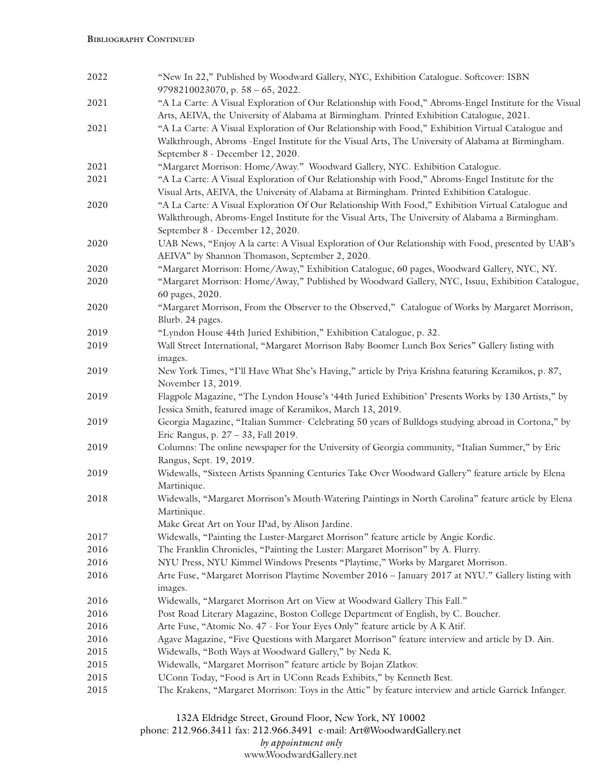| 2022 | "New In 22," Published by Woodward Gallery, NYC, Exhibition Catalogue. Softcover: ISBN<br>$9798210023070$ , p. $58 - 65$ , 2022.                                                                                                             |
|------|----------------------------------------------------------------------------------------------------------------------------------------------------------------------------------------------------------------------------------------------|
| 2021 | "A La Carte: A Visual Exploration of Our Relationship with Food," Abroms-Engel Institute for the Visual<br>Arts, AEIVA, the University of Alabama at Birmingham. Printed Exhibition Catalogue, 2021.                                         |
| 2021 | "A La Carte: A Visual Exploration of Our Relationship with Food," Exhibition Virtual Catalogue and<br>Walkthrough, Abroms -Engel Institute for the Visual Arts, The University of Alabama at Birmingham.<br>September 8 - December 12, 2020. |
| 2021 | "Margaret Morrison: Home/Away." Woodward Gallery, NYC. Exhibition Catalogue.                                                                                                                                                                 |
| 2021 | "A La Carte: A Visual Exploration of Our Relationship with Food," Abroms-Engel Institute for the<br>Visual Arts, AEIVA, the University of Alabama at Birmingham. Printed Exhibition Catalogue.                                               |
| 2020 | "A La Carte: A Visual Exploration Of Our Relationship With Food," Exhibition Virtual Catalogue and<br>Walkthrough, Abroms-Engel Institute for the Visual Arts, The University of Alabama a Birmingham.<br>September 8 - December 12, 2020.   |
| 2020 | UAB News, "Enjoy A la carte: A Visual Exploration of Our Relationship with Food, presented by UAB's<br>AEIVA" by Shannon Thomason, September 2, 2020.                                                                                        |
| 2020 | "Margaret Morrison: Home/Away," Exhibition Catalogue, 60 pages, Woodward Gallery, NYC, NY.                                                                                                                                                   |
| 2020 | "Margaret Morrison: Home/Away," Published by Woodward Gallery, NYC, Issuu, Exhibition Catalogue,<br>60 pages, 2020.                                                                                                                          |
| 2020 | "Margaret Morrison, From the Observer to the Observed," Catalogue of Works by Margaret Morrison,<br>Blurb. 24 pages.                                                                                                                         |
| 2019 | "Lyndon House 44th Juried Exhibition," Exhibition Catalogue, p. 32.                                                                                                                                                                          |
| 2019 | Wall Street International, "Margaret Morrison Baby Boomer Lunch Box Series" Gallery listing with<br>images.                                                                                                                                  |
| 2019 | New York Times, "I'll Have What She's Having," article by Priya Krishna featuring Keramikos, p. 87,<br>November 13, 2019.                                                                                                                    |
| 2019 | Flagpole Magazine, "The Lyndon House's '44th Juried Exhibition' Presents Works by 130 Artists," by<br>Jessica Smith, featured image of Keramikos, March 13, 2019.                                                                            |
| 2019 | Georgia Magazine, "Italian Summer- Celebrating 50 years of Bulldogs studying abroad in Cortona," by<br>Eric Rangus, p. 27 - 33, Fall 2019.                                                                                                   |
| 2019 | Columns: The online newspaper for the University of Georgia community, "Italian Summer," by Eric<br>Rangus, Sept. 19, 2019.                                                                                                                  |
| 2019 | Widewalls, "Sixteen Artists Spanning Centuries Take Over Woodward Gallery" feature article by Elena<br>Martinique.                                                                                                                           |
| 2018 | Widewalls, "Margaret Morrison's Mouth-Watering Paintings in North Carolina" feature article by Elena<br>Martinique.<br>Make Great Art on Your IPad, by Alison Jardine.                                                                       |
| 2017 | Widewalls, "Painting the Luster-Margaret Morrison" feature article by Angie Kordic.                                                                                                                                                          |
| 2016 | The Franklin Chronicles, "Painting the Luster: Margaret Morrison" by A. Flurry.                                                                                                                                                              |
| 2016 | NYU Press, NYU Kimmel Windows Presents "Playtime," Works by Margaret Morrison.                                                                                                                                                               |
| 2016 | Arte Fuse, "Margaret Morrison Playtime November 2016 - January 2017 at NYU." Gallery listing with<br>images.                                                                                                                                 |
| 2016 | Widewalls, "Margaret Morrison Art on View at Woodward Gallery This Fall."                                                                                                                                                                    |
| 2016 | Post Road Literary Magazine, Boston College Department of English, by C. Boucher.                                                                                                                                                            |
| 2016 | Arte Fuse, "Atomic No. 47 - For Your Eyes Only" feature article by A K Atif.                                                                                                                                                                 |
| 2016 | Agave Magazine, "Five Questions with Margaret Morrison" feature interview and article by D. Ain.                                                                                                                                             |
| 2015 | Widewalls, "Both Ways at Woodward Gallery," by Neda K.                                                                                                                                                                                       |
| 2015 | Widewalls, "Margaret Morrison" feature article by Bojan Zlatkov.                                                                                                                                                                             |
| 2015 | UConn Today, "Food is Art in UConn Reads Exhibits," by Kenneth Best.                                                                                                                                                                         |
| 2015 | The Krakens, "Margaret Morrison: Toys in the Attic" by feature interview and article Garrick Infanger.                                                                                                                                       |

132A Eldridge Street, Ground Floor, New York, NY 10002

phone: 212.966.3411 fax: 212.966.3491 e-mail: Art@WoodwardGallery.net

### *by appointment only*

www.WoodwardGallery.net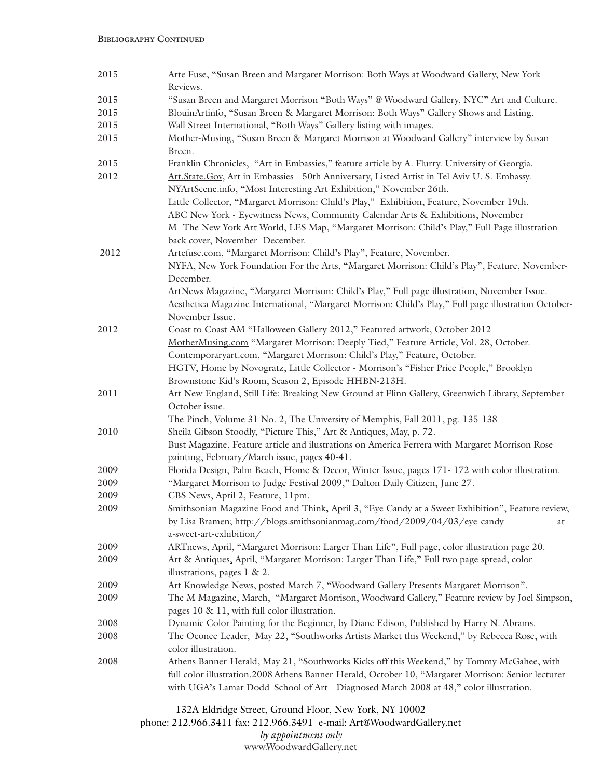#### **Bibliography Continued**

| 2015 | Arte Fuse, "Susan Breen and Margaret Morrison: Both Ways at Woodward Gallery, New York                                                                                                                                   |
|------|--------------------------------------------------------------------------------------------------------------------------------------------------------------------------------------------------------------------------|
|      | Reviews.                                                                                                                                                                                                                 |
| 2015 | "Susan Breen and Margaret Morrison "Both Ways" @ Woodward Gallery, NYC" Art and Culture.                                                                                                                                 |
| 2015 | BlouinArtinfo, "Susan Breen & Margaret Morrison: Both Ways" Gallery Shows and Listing.                                                                                                                                   |
| 2015 | Wall Street International, "Both Ways" Gallery listing with images.                                                                                                                                                      |
| 2015 | Mother-Musing, "Susan Breen & Margaret Morrison at Woodward Gallery" interview by Susan<br>Breen.                                                                                                                        |
| 2015 | Franklin Chronicles, "Art in Embassies," feature article by A. Flurry. University of Georgia.                                                                                                                            |
| 2012 | Art.State.Gov, Art in Embassies - 50th Anniversary, Listed Artist in Tel Aviv U. S. Embassy.<br>NYArtScene.info, "Most Interesting Art Exhibition," November 26th.                                                       |
|      | Little Collector, "Margaret Morrison: Child's Play," Exhibition, Feature, November 19th.                                                                                                                                 |
|      | ABC New York - Eyewitness News, Community Calendar Arts & Exhibitions, November                                                                                                                                          |
|      | M- The New York Art World, LES Map, "Margaret Morrison: Child's Play," Full Page illustration                                                                                                                            |
|      | back cover, November- December.                                                                                                                                                                                          |
| 2012 | Artefuse.com, "Margaret Morrison: Child's Play", Feature, November.                                                                                                                                                      |
|      | NYFA, New York Foundation For the Arts, "Margaret Morrison: Child's Play", Feature, November-                                                                                                                            |
|      | December.                                                                                                                                                                                                                |
|      | ArtNews Magazine, "Margaret Morrison: Child's Play," Full page illustration, November Issue.<br>Aesthetica Magazine International, "Margaret Morrison: Child's Play," Full page illustration October-<br>November Issue. |
| 2012 | Coast to Coast AM "Halloween Gallery 2012," Featured artwork, October 2012                                                                                                                                               |
|      | MotherMusing.com "Margaret Morrison: Deeply Tied," Feature Article, Vol. 28, October.                                                                                                                                    |
|      | Contemporaryart.com, "Margaret Morrison: Child's Play," Feature, October.                                                                                                                                                |
|      | HGTV, Home by Novogratz, Little Collector - Morrison's "Fisher Price People," Brooklyn                                                                                                                                   |
|      | Brownstone Kid's Room, Season 2, Episode HHBN-213H.                                                                                                                                                                      |
| 2011 | Art New England, Still Life: Breaking New Ground at Flinn Gallery, Greenwich Library, September-                                                                                                                         |
|      | October issue.                                                                                                                                                                                                           |
|      | The Pinch, Volume 31 No. 2, The University of Memphis, Fall 2011, pg. 135-138                                                                                                                                            |
| 2010 | Sheila Gibson Stoodly, "Picture This," Art & Antiques, May, p. 72.                                                                                                                                                       |
|      | Bust Magazine, Feature article and ilustrations on America Ferrera with Margaret Morrison Rose<br>painting, February/March issue, pages 40-41.                                                                           |
| 2009 | Florida Design, Palm Beach, Home & Decor, Winter Issue, pages 171-172 with color illustration.                                                                                                                           |
| 2009 | "Margaret Morrison to Judge Festival 2009," Dalton Daily Citizen, June 27.                                                                                                                                               |
| 2009 | CBS News, April 2, Feature, 11pm.                                                                                                                                                                                        |
| 2009 | Smithsonian Magazine Food and Think, April 3, "Eye Candy at a Sweet Exhibition", Feature review,                                                                                                                         |
|      | by Lisa Bramen; http://blogs.smithsonianmag.com/food/2009/04/03/eye-candy-<br>at-<br>a-sweet-art-exhibition/                                                                                                             |
| 2009 | ARTnews, April, "Margaret Morrison: Larger Than Life", Full page, color illustration page 20.                                                                                                                            |
| 2009 | Art & Antiques, April, "Margaret Morrison: Larger Than Life," Full two page spread, color                                                                                                                                |
|      | illustrations, pages 1 & 2.                                                                                                                                                                                              |
| 2009 | Art Knowledge News, posted March 7, "Woodward Gallery Presents Margaret Morrison".                                                                                                                                       |
| 2009 | The M Magazine, March, "Margaret Morrison, Woodward Gallery," Feature review by Joel Simpson,                                                                                                                            |
|      | pages 10 & 11, with full color illustration.                                                                                                                                                                             |
| 2008 | Dynamic Color Painting for the Beginner, by Diane Edison, Published by Harry N. Abrams.                                                                                                                                  |
| 2008 | The Oconee Leader, May 22, "Southworks Artists Market this Weekend," by Rebecca Rose, with<br>color illustration.                                                                                                        |
| 2008 | Athens Banner-Herald, May 21, "Southworks Kicks off this Weekend," by Tommy McGahee, with                                                                                                                                |
|      | full color illustration.2008 Athens Banner-Herald, October 10, "Margaret Morrison: Senior lecturer                                                                                                                       |
|      | with UGA's Lamar Dodd School of Art - Diagnosed March 2008 at 48," color illustration.                                                                                                                                   |
|      | 132A Eldridge Street, Ground Floor, New York, NY 10002                                                                                                                                                                   |

phone: 212.966.3411 fax: 212.966.3491 e-mail: Art@WoodwardGallery.net *by appointment only* www.WoodwardGallery.net